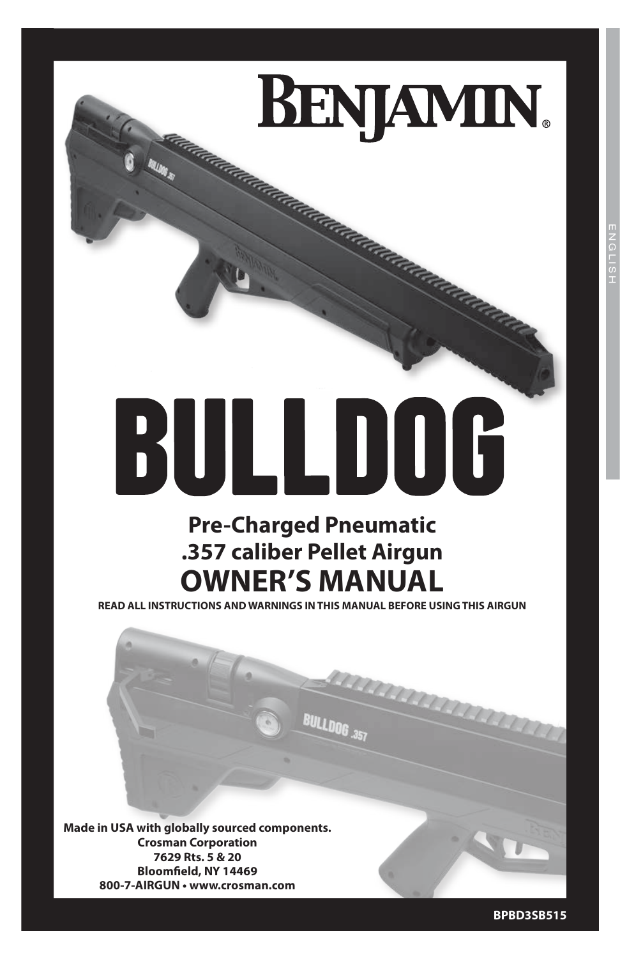# **BENJAMIN.** adalahara dalaman

# BULLDOG **Pre-Charged Pneumatic**

# **.357 caliber Pellet Airgun OWNER'S MANUAL**

**READ ALL INSTRUCTIONS AND WARNINGS IN THIS MANUAL BEFORE USING THIS AIRGUN**

**BULLDOG .357** 

**Made in USA with globally sourced components. Crosman Corporation 7629 Rts. 5 & 20 Bloomfield, NY 14469 800-7-AIRGUN • www.crosman.com**

**BPBD3SB515**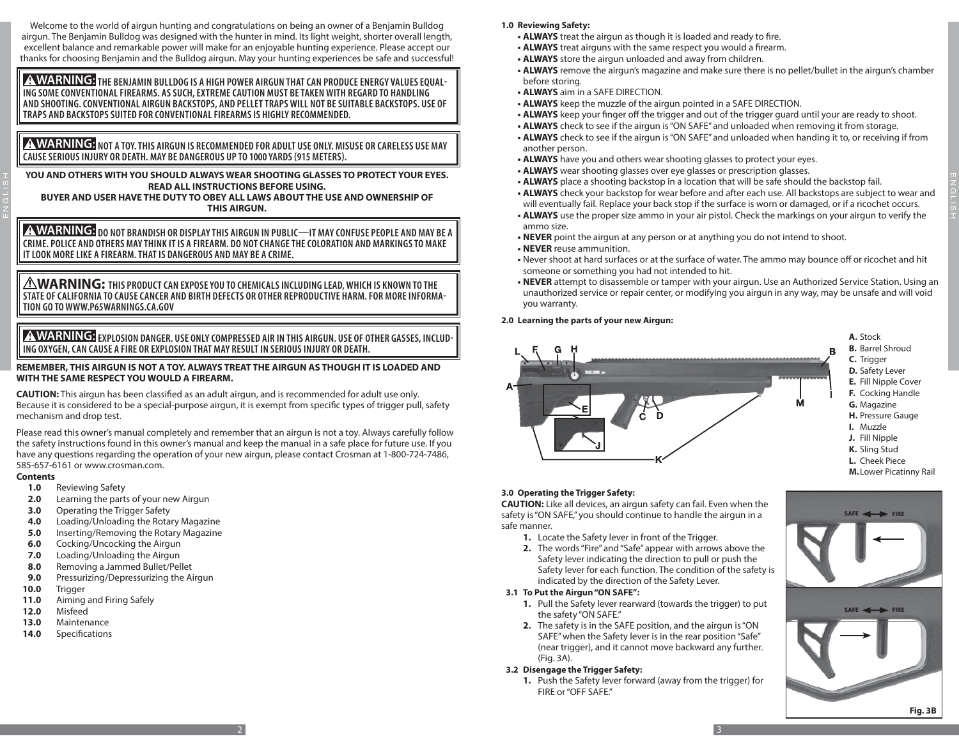Welcome to the world of airgun hunting and congratulations on being an owner of a Benjamin Bulldog airgun. The Benjamin Bulldog was designed with the hunter in mind. Its light weight, shorter overall length, excellent balance and remarkable power will make for an enjoyable hunting experience. Please accept our thanks for choosing Benjamin and the Bulldog airgun. May your hunting experiences be safe and successful!

 **THE BENJAMIN BULLDOG IS A HIGH POWER AIRGUN THAT CAN PRODUCE ENERGY VALUES EQUAL- ING SOME CONVENTIONAL FIREARMS. AS SUCH, EXTREME CAUTION MUST BE TAKEN WITH REGARD TO HANDLING AND SHOOTING. CONVENTIONAL AIRGUN BACKSTOPS, AND PELLET TRAPS WILL NOT BE SUITABLE BACKSTOPS. USE OF TRAPS AND BACKSTOPS SUITED FOR CONVENTIONAL FIREARMS IS HIGHLY RECOMMENDED.**

**A WARNING:** NOT A TOY. THIS AIRGUN IS RECOMMENDED FOR ADULT USE ONLY. MISUSE OR CARELESS USE MAY **CAUSE SERIOUS INJURY OR DEATH. MAY BE DANGEROUS UP TO 1000 YARDS (915 METERS).**

**YOU AND OTHERS WITH YOU SHOULD ALWAYS WEAR SHOOTING GLASSES TO PROTECT YOUR EYES. READ ALL INSTRUCTIONS BEFORE USING.**

**BUYER AND USER HAVE THE DUTY TO OBEY ALL LAWS ABOUT THE USE AND OWNERSHIP OF THIS AIRGUN.**

 $\bigwedge \mathbf{WARMING:}$  do not brandish or display this airgun in public—it may confuse people and may be a **CRIME. POLICE AND OTHERS MAY THINK IT IS A FIREARM. DO NOT CHANGE THE COLORATION AND MARKINGS TO MAKE IT LOOK MORE LIKE A FIREARM. THAT IS DANGEROUS AND MAY BE A CRIME.**

**WARNING: THIS PRODUCT CAN EXPOSE YOU TO CHEMICALS INCLUDING LEAD, WHICH IS KNOWN TO THE STATE OF CALIFORNIA TO CAUSE CANCER AND BIRTH DEFECTS OR OTHER REPRODUCTIVE HARM. FOR MORE INFORMA-TION GO TO WWW.P65WARNINGS.CA.GOV**

 **EXPLOSION DANGER. USE ONLY COMPRESSED AIR IN THIS AIRGUN. USE OF OTHER GASSES, INCLUD- ING OXYGEN, CAN CAUSE A FIRE OR EXPLOSION THAT MAY RESULT IN SERIOUS INJURY OR DEATH.**

#### **REMEMBER, THIS AIRGUN IS NOT A TOY. ALWAYS TREAT THE AIRGUN AS THOUGH IT IS LOADED AND WITH THE SAME RESPECT YOU WOULD A FIREARM.**

**CAUTION:** This airgun has been classified as an adult airgun, and is recommended for adult use only. Because it is considered to be a special-purpose airgun, it is exempt from specific types of trigger pull, safety mechanism and drop test.

Please read this owner's manual completely and remember that an airgun is not a toy. Always carefully follow the safety instructions found in this owner's manual and keep the manual in a safe place for future use. If you have any questions regarding the operation of your new airgun, please contact Crosman at 1-800-724-7486, 585-657-6161 or www.crosman.com.

#### **Contents**

ENGLISH

- **1.0** Reviewing Safety
- **2.0** Learning the parts of your new Airgun
- **3.0** Operating the Trigger Safety
- **4.0** Loading/Unloading the Rotary Magazine
- **5.0** Inserting/Removing the Rotary Magazine
- **6.0** Cocking/Uncocking the Airgun
- **7.0** Loading/Unloading the Airgun
- **8.0** Removing a Jammed Bullet/Pellet
- **9.0** Pressurizing/Depressurizing the Airgun
- **10.0** Trigger
- **11.0** Aiming and Firing Safely
- **12.0** Misfeed
- **13.0** Maintenance
- **14.0** Specifications
- **1.0 Reviewing Safety:**
	- **• ALWAYS** treat the airgun as though it is loaded and ready to fire.
	- **• ALWAYS** treat airguns with the same respect you would a firearm.
	- **• ALWAYS** store the airgun unloaded and away from children.
	- **• ALWAYS** remove the airgun's magazine and make sure there is no pellet/bullet in the airgun's chamber before storing.
	- **• ALWAYS** aim in a SAFE DIRECTION.
	- **• ALWAYS** keep the muzzle of the airgun pointed in a SAFE DIRECTION.
	- **• ALWAYS** keep your finger off the trigger and out of the trigger guard until your are ready to shoot.
	- **• ALWAYS** check to see if the airgun is "ON SAFE" and unloaded when removing it from storage.
	- **• ALWAYS** check to see if the airgun is "ON SAFE" and unloaded when handing it to, or receiving if from another person.
	- **• ALWAYS** have you and others wear shooting glasses to protect your eyes.
	- **• ALWAYS** wear shooting glasses over eye glasses or prescription glasses.
	- **• ALWAYS** place a shooting backstop in a location that will be safe should the backstop fail.
	- **• ALWAYS** check your backstop for wear before and after each use. All backstops are subject to wear and will eventually fail. Replace your back stop if the surface is worn or damaged, or if a ricochet occurs.
	- **• ALWAYS** use the proper size ammo in your air pistol. Check the markings on your airgun to verify the ammo size.
	- **• NEVER** point the airgun at any person or at anything you do not intend to shoot.
	- **• NEVER** reuse ammunition.
	- **•** Never shoot at hard surfaces or at the surface of water. The ammo may bounce off or ricochet and hit someone or something you had not intended to hit.
	- **• NEVER** attempt to disassemble or tamper with your airgun. Use an Authorized Service Station. Using an unauthorized service or repair center, or modifying you airgun in any way, may be unsafe and will void you warranty.

#### **2.0 Learning the parts of your new Airgun:**



#### **3.0 Operating the Trigger Safety:**

**CAUTION:** Like all devices, an airgun safety can fail. Even when the safety is "ON SAFE," you should continue to handle the airgun in a safe manner.

- **1.** Locate the Safety lever in front of the Trigger.
- **2.** The words "Fire" and "Safe" appear with arrows above the Safety lever indicating the direction to pull or push the Safety lever for each function. The condition of the safety is indicated by the direction of the Safety Lever.

#### **3.1 To Put the Airgun "ON SAFE":**

- **1.** Pull the Safety lever rearward (towards the trigger) to put the safety "ON SAFE."
- **2.** The safety is in the SAFE position, and the airgun is "ON SAFE" when the Safety lever is in the rear position "Safe" (near trigger), and it cannot move backward any further. (Fig. 3A).

#### **3.2 Disengage the Trigger Safety:**

 $2\frac{1}{2}$ 

**1.** Push the Safety lever forward (away from the trigger) for FIRE or "OFF SAFE."

**SAFE** 

SAFE <

**Fig. 2A**

**3B**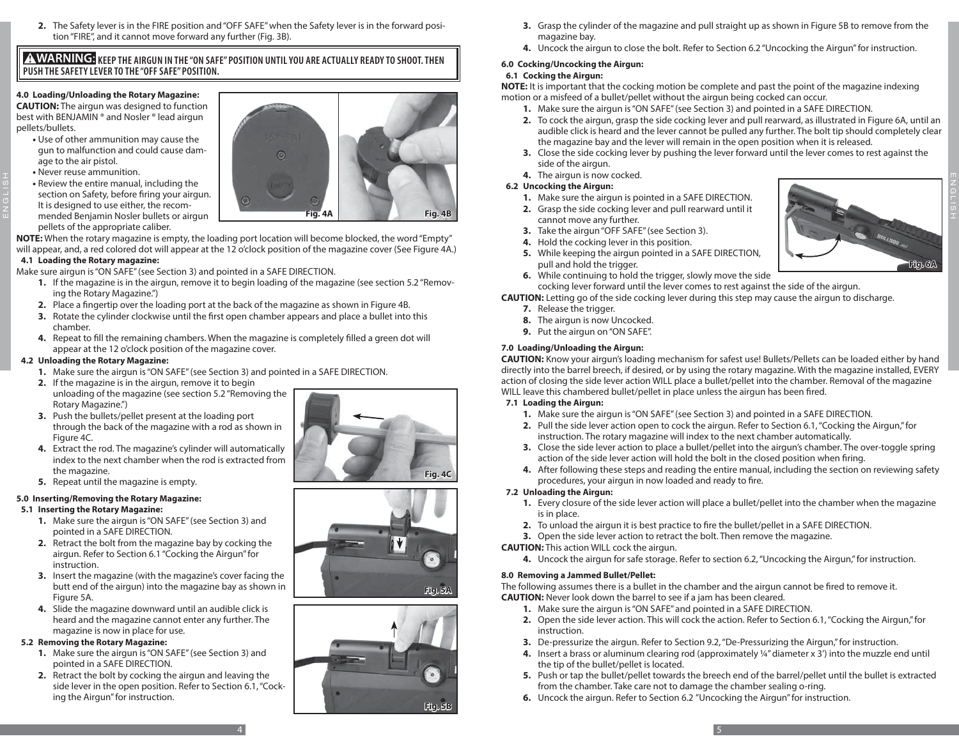**2.** The Safety lever is in the FIRE position and "OFF SAFE" when the Safety lever is in the forward position "FIRE", and it cannot move forward any further (Fig. 3B).

# **A WARNING:** KEEP THE AIRGUN IN THE "ON SAFE" POSITION UNTIL YOU ARE ACTUALLY READY TO SHOOT. THEN **PUSH THE SAFETY LEVER TO THE "OFF SAFE" POSITION.**

# **4.0 Loading/Unloading the Rotary Magazine:**

**CAUTION:** The airgun was designed to function best with BENJAMIN ® and Nosler ® lead airgun pellets/bullets.

- **•** Use of other ammunition may cause the gun to malfunction and could cause damage to the air pistol.
- **•** Never reuse ammunition.

ENGLISH

**•** Review the entire manual, including the section on Safety, before firing your airgun. It is designed to use either, the recommended Benjamin Nosler bullets or airgun pellets of the appropriate caliber.

**NOTE:** When the rotary magazine is empty, the loading port location will become blocked, the word "Empty" will appear, and, a red colored dot will appear at the 12 o'clock position of the magazine cover (See Figure 4A.)

# **4.1 Loading the Rotary magazine:**

Make sure airgun is "ON SAFE" (see Section 3) and pointed in a SAFE DIRECTION.

- **1.** If the magazine is in the airgun, remove it to begin loading of the magazine (see section 5.2 "Removing the Rotary Magazine.")
- **2.** Place a fingertip over the loading port at the back of the magazine as shown in Figure 4B.
- **3.** Rotate the cylinder clockwise until the first open chamber appears and place a bullet into this chamber.
- **4.** Repeat to fill the remaining chambers. When the magazine is completely filled a green dot will appear at the 12 o'clock position of the magazine cover.

# **4.2 Unloading the Rotary Magazine:**

- **1.** Make sure the airgun is "ON SAFE" (see Section 3) and pointed in a SAFE DIRECTION.
- **2.** If the magazine is in the airgun, remove it to begin unloading of the magazine (see section 5.2 "Removing the Rotary Magazine.")
- **3.** Push the bullets/pellet present at the loading port through the back of the magazine with a rod as shown in Figure 4C.
- **4.** Extract the rod. The magazine's cylinder will automatically index to the next chamber when the rod is extracted from the magazine.
- **5.** Repeat until the magazine is empty.

# **5.0 Inserting/Removing the Rotary Magazine:**

# **5.1 Inserting the Rotary Magazine:**

- **1.** Make sure the airgun is "ON SAFE" (see Section 3) and pointed in a SAFE DIRECTION.
- **2.** Retract the bolt from the magazine bay by cocking the airgun. Refer to Section 6.1 "Cocking the Airgun" for instruction.
- **3.** Insert the magazine (with the magazine's cover facing the butt end of the airgun) into the magazine bay as shown in Figure 5A.
- **4.** Slide the magazine downward until an audible click is heard and the magazine cannot enter any further. The magazine is now in place for use.

# **5.2 Removing the Rotary Magazine:**

- **1.** Make sure the airgun is "ON SAFE" (see Section 3) and pointed in a SAFE DIRECTION.
- **2.** Retract the bolt by cocking the airgun and leaving the side lever in the open position. Refer to Section 6.1, "Cocking the Airgun" for instruction.







- **3.** Grasp the cylinder of the magazine and pull straight up as shown in Figure 5B to remove from the magazine bay.
- **4.** Uncock the airgun to close the bolt. Refer to Section 6.2 "Uncocking the Airgun" for instruction.

# **6.0 Cocking/Uncocking the Airgun:**

# **6.1 Cocking the Airgun:**

**NOTE:** It is important that the cocking motion be complete and past the point of the magazine indexing motion or a misfeed of a bullet/pellet without the airgun being cocked can occur.

- **1.** Make sure the airgun is "ON SAFE" (see Section 3) and pointed in a SAFE DIRECTION.
- **2.** To cock the airgun, grasp the side cocking lever and pull rearward, as illustrated in Figure 6A, until an audible click is heard and the lever cannot be pulled any further. The bolt tip should completely clear the magazine bay and the lever will remain in the open position when it is released.
- **3.** Close the side cocking lever by pushing the lever forward until the lever comes to rest against the side of the airgun.
- **4.** The airgun is now cocked.

# **6.2 Uncocking the Airgun:**

- **1.** Make sure the airgun is pointed in a SAFE DIRECTION.
- **2.** Grasp the side cocking lever and pull rearward until it cannot move any further.
- **3.** Take the airgun "OFF SAFE" (see Section 3).
- **4.** Hold the cocking lever in this position.
- **5.** While keeping the airgun pointed in a SAFE DIRECTION, pull and hold the trigger.
- **6.** While continuing to hold the trigger, slowly move the side cocking lever forward until the lever comes to rest against the side of the airgun.

**CAUTION:** Letting go of the side cocking lever during this step may cause the airgun to discharge.

- **7.** Release the trigger.
- **8.** The airgun is now Uncocked.
- **9.** Put the airgun on "ON SAFE".

# **7.0 Loading/Unloading the Airgun:**

**CAUTION:** Know your airgun's loading mechanism for safest use! Bullets/Pellets can be loaded either by hand directly into the barrel breech, if desired, or by using the rotary magazine. With the magazine installed, EVERY action of closing the side lever action WILL place a bullet/pellet into the chamber. Removal of the magazine WILL leave this chambered bullet/pellet in place unless the airgun has been fired.

# **7.1 Loading the Airgun:**

- **1.** Make sure the airgun is "ON SAFE" (see Section 3) and pointed in a SAFE DIRECTION.
- **2.** Pull the side lever action open to cock the airgun. Refer to Section 6.1, "Cocking the Airgun," for instruction. The rotary magazine will index to the next chamber automatically.
- **3.** Close the side lever action to place a bullet/pellet into the airgun's chamber. The over-toggle spring action of the side lever action will hold the bolt in the closed position when firing.
- **4.** After following these steps and reading the entire manual, including the section on reviewing safety procedures, your airgun in now loaded and ready to fire.

# **7.2 Unloading the Airgun:**

- **1.** Every closure of the side lever action will place a bullet/pellet into the chamber when the magazine is in place.
- **2.** To unload the airgun it is best practice to fire the bullet/pellet in a SAFE DIRECTION.
- **3.** Open the side lever action to retract the bolt. Then remove the magazine.

**CAUTION:** This action WILL cock the airgun.

**4.** Uncock the airgun for safe storage. Refer to section 6.2, "Uncocking the Airgun," for instruction.

# **8.0 Removing a Jammed Bullet/Pellet:**

The following assumes there is a bullet in the chamber and the airgun cannot be fired to remove it. **CAUTION:** Never look down the barrel to see if a jam has been cleared.

- **1.** Make sure the airgun is "ON SAFE" and pointed in a SAFE DIRECTION.
- **2.** Open the side lever action. This will cock the action. Refer to Section 6.1, "Cocking the Airgun," for instruction.
- **3.** De-pressurize the airgun. Refer to Section 9.2, "De-Pressurizing the Airgun," for instruction.
- **4.** Insert a brass or aluminum clearing rod (approximately ¼" diameter x 3') into the muzzle end until the tip of the bullet/pellet is located.
- **5.** Push or tap the bullet/pellet towards the breech end of the barrel/pellet until the bullet is extracted from the chamber. Take care not to damage the chamber sealing o-ring.
- **6.** Uncock the airgun. Refer to Section 6.2 "Uncocking the Airgun" for instruction.



ENGLISH



 $\frac{4}{5}$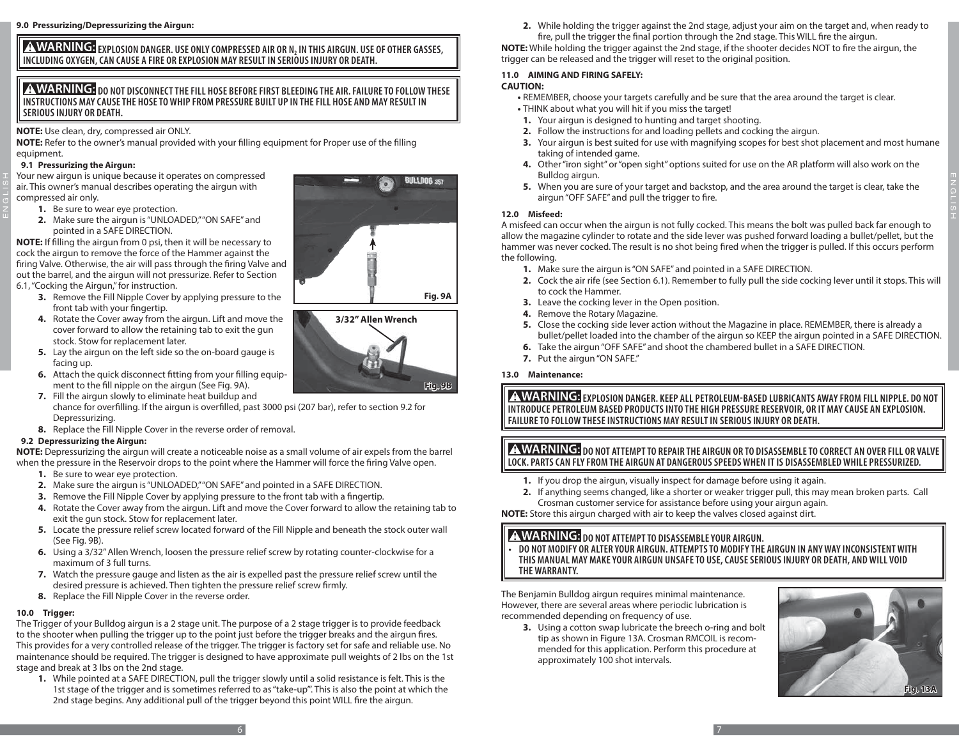**ZINWARNIING: EXPLOSION DANGER. USE ONLY COMPRESSED AIR OR N, IN THIS AIRGUN. USE OF OTHER GASSES, .**<br>INCLUDING OXYGEN, CAN CAUSE A FIRE OR EXPLOSION MAY RESULT IN SERIOUS INJURY OR DEATH.

# **A WARNING:** DO NOT DISCONNECT THE FILL HOSE BEFORE FIRST BLEEDING THE AIR. FAILURE TO FOLLOW THESE **INSTRUCTIONS MAY CAUSE THE HOSE TO WHIP FROM PRESSURE BUILT UP IN THE FILL HOSE AND MAY RESULT IN SERIOUS INJURY OR DEATH.**

**NOTE:** Use clean, dry, compressed air ONLY.

**NOTE:** Refer to the owner's manual provided with your filling equipment for Proper use of the filling equipment.

#### **9.1 Pressurizing the Airgun:**

ENGLISH

Your new airgun is unique because it operates on compressed air. This owner's manual describes operating the airgun with compressed air only.

- **1.** Be sure to wear eye protection.
- **2.** Make sure the airgun is "UNLOADED," "ON SAFE" and pointed in a SAFE DIRECTION.

**NOTE:** If filling the airgun from 0 psi, then it will be necessary to cock the airgun to remove the force of the Hammer against the firing Valve. Otherwise, the air will pass through the firing Valve and out the barrel, and the airgun will not pressurize. Refer to Section 6.1, "Cocking the Airgun," for instruction.

- **3.** Remove the Fill Nipple Cover by applying pressure to the front tab with your fingertip.
- **4.** Rotate the Cover away from the airgun. Lift and move the cover forward to allow the retaining tab to exit the gun stock. Stow for replacement later.
- **5.** Lay the airgun on the left side so the on-board gauge is facing up.
- **6.** Attach the quick disconnect fitting from your filling equipment to the fill nipple on the airgun (See Fig. 9A).
- **7.** Fill the airgun slowly to eliminate heat buildup and chance for overfilling. If the airgun is overfilled, past 3000 psi (207 bar), refer to section 9.2 for Depressurizing.
- **8.** Replace the Fill Nipple Cover in the reverse order of removal.

#### **9.2 Depressurizing the Airgun:**

**NOTE:** Depressurizing the airgun will create a noticeable noise as a small volume of air expels from the barrel when the pressure in the Reservoir drops to the point where the Hammer will force the firing Valve open.

- **1.** Be sure to wear eye protection.
- **2.** Make sure the airgun is "UNLOADED," "ON SAFE" and pointed in a SAFE DIRECTION.
- **3.** Remove the Fill Nipple Cover by applying pressure to the front tab with a fingertip.
- **4.** Rotate the Cover away from the airgun. Lift and move the Cover forward to allow the retaining tab to exit the gun stock. Stow for replacement later.
- **5.** Locate the pressure relief screw located forward of the Fill Nipple and beneath the stock outer wall (See Fig. 9B).
- **6.** Using a 3/32" Allen Wrench, loosen the pressure relief screw by rotating counter-clockwise for a maximum of 3 full turns.
- **7.** Watch the pressure gauge and listen as the air is expelled past the pressure relief screw until the desired pressure is achieved. Then tighten the pressure relief screw firmly.
- **8.** Replace the Fill Nipple Cover in the reverse order.

# **10.0 Trigger:**

The Trigger of your Bulldog airgun is a 2 stage unit. The purpose of a 2 stage trigger is to provide feedback to the shooter when pulling the trigger up to the point just before the trigger breaks and the airgun fires. This provides for a very controlled release of the trigger. The trigger is factory set for safe and reliable use. No maintenance should be required. The trigger is designed to have approximate pull weights of 2 lbs on the 1st stage and break at 3 lbs on the 2nd stage.

**1.** While pointed at a SAFE DIRECTION, pull the trigger slowly until a solid resistance is felt. This is the 1st stage of the trigger and is sometimes referred to as "take-up"'. This is also the point at which the 2nd stage begins. Any additional pull of the trigger beyond this point WILL fire the airgun.

**2.** While holding the trigger against the 2nd stage, adjust your aim on the target and, when ready to

fire, pull the trigger the final portion through the 2nd stage. This WILL fire the airgun. **NOTE:** While holding the trigger against the 2nd stage, if the shooter decides NOT to fire the airgun, the trigger can be released and the trigger will reset to the original position.

# **11.0 AIMING AND FIRING SAFELY:**

# **CAUTION:**

**•** REMEMBER, choose your targets carefully and be sure that the area around the target is clear. **•** THINK about what you will hit if you miss the target!

- **1.** Your airgun is designed to hunting and target shooting.
- **2.** Follow the instructions for and loading pellets and cocking the airgun.
- **3.** Your airgun is best suited for use with magnifying scopes for best shot placement and most humane taking of intended game.
- **4.** Other "iron sight" or "open sight" options suited for use on the AR platform will also work on the Bulldog airgun.
- **5.** When you are sure of your target and backstop, and the area around the target is clear, take the airgun "OFF SAFE" and pull the trigger to fire.

#### **12.0 Misfeed:**

A misfeed can occur when the airgun is not fully cocked. This means the bolt was pulled back far enough to allow the magazine cylinder to rotate and the side lever was pushed forward loading a bullet/pellet, but the hammer was never cocked. The result is no shot being fired when the trigger is pulled. If this occurs perform the following.

- **1.** Make sure the airgun is "ON SAFE" and pointed in a SAFE DIRECTION.
- **2.** Cock the air rife (see Section 6.1). Remember to fully pull the side cocking lever until it stops. This will to cock the Hammer.
- **3.** Leave the cocking lever in the Open position.
- **4.** Remove the Rotary Magazine.
- **5.** Close the cocking side lever action without the Magazine in place. REMEMBER, there is already a bullet/pellet loaded into the chamber of the airgun so KEEP the airgun pointed in a SAFE DIRECTION.
- **6.** Take the airgun "OFF SAFE" and shoot the chambered bullet in a SAFE DIRECTION.
- **7.** Put the airgun "ON SAFE."

# **13.0 Maintenance:**

**A WARNING:** EXPLOSION DANGER. KEEP ALL PETROLEUM-BASED LUBRICANTS AWAY FROM FILL NIPPLE. DO NOT **INTRODUCE PETROLEUM BASED PRODUCTS INTO THE HIGH PRESSURE RESERVOIR, OR IT MAY CAUSE AN EXPLOSION. FAILURE TO FOLLOW THESE INSTRUCTIONS MAY RESULT IN SERIOUS INJURY OR DEATH.**

**A WARNING:** DO NOT ATTEMPT TO REPAIR THE AIRGUN OR TO DISASSEMBLE TO CORRECT AN OVER FILL OR VALVE **LOCK. PARTS CAN FLY FROM THE AIRGUN AT DANGEROUS SPEEDS WHEN IT IS DISASSEMBLED WHILE PRESSURIZED.**

- **1.** If you drop the airgun, visually inspect for damage before using it again.
- **2.** If anything seems changed, like a shorter or weaker trigger pull, this may mean broken parts. Call Crosman customer service for assistance before using your airgun again.

**NOTE:** Store this airgun charged with air to keep the valves closed against dirt.

# **A WARNING:** DO NOT ATTEMPT TO DISASSEMBLE YOUR AIRGUN.

**• DO NOT MODIFY OR ALTER YOUR AIRGUN. ATTEMPTS TO MODIFY THE AIRGUN IN ANY WAY INCONSISTENT WITH THIS MANUAL MAY MAKE YOUR AIRGUN UNSAFE TO USE, CAUSE SERIOUS INJURY OR DEATH, AND WILL VOID THE WARRANTY.** 

The Benjamin Bulldog airgun requires minimal maintenance. However, there are several areas where periodic lubrication is recommended depending on frequency of use.

**3.** Using a cotton swap lubricate the breech o-ring and bolt tip as shown in Figure 13A. Crosman RMCOIL is recommended for this application. Perform this procedure at approximately 100 shot intervals.





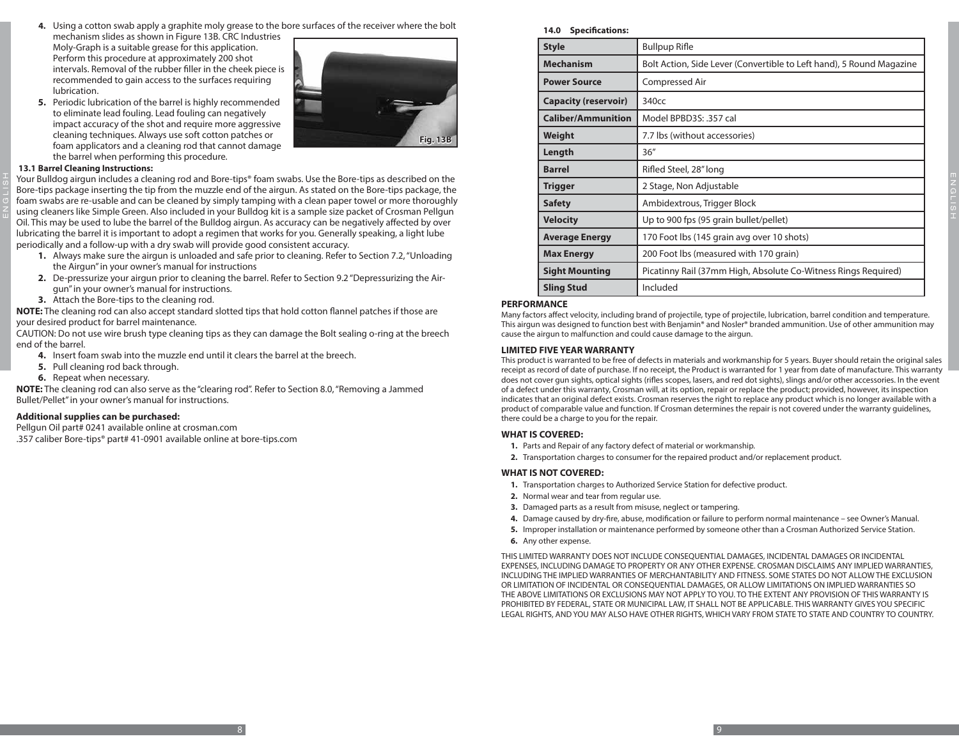- **4.** Using a cotton swab apply a graphite moly grease to the bore surfaces of the receiver where the bolt
- mechanism slides as shown in Figure 13B. CRC Industries Moly-Graph is a suitable grease for this application. Perform this procedure at approximately 200 shot intervals. Removal of the rubber filler in the cheek piece is recommended to gain access to the surfaces requiring lubrication.
- **5.** Periodic lubrication of the barrel is highly recommended to eliminate lead fouling. Lead fouling can negatively impact accuracy of the shot and require more aggressive cleaning techniques. Always use soft cotton patches or foam applicators and a cleaning rod that cannot damage the barrel when performing this procedure.



#### **13.1 Barrel Cleaning Instructions:**

ENGLISH

Your Bulldog airgun includes a cleaning rod and Bore-tips® foam swabs. Use the Bore-tips as described on the Bore-tips package inserting the tip from the muzzle end of the airgun. As stated on the Bore-tips package, the foam swabs are re-usable and can be cleaned by simply tamping with a clean paper towel or more thoroughly using cleaners like Simple Green. Also included in your Bulldog kit is a sample size packet of Crosman Pellgun Oil. This may be used to lube the barrel of the Bulldog airgun. As accuracy can be negatively affected by over lubricating the barrel it is important to adopt a regimen that works for you. Generally speaking, a light lube periodically and a follow-up with a dry swab will provide good consistent accuracy.

- **1.** Always make sure the airgun is unloaded and safe prior to cleaning. Refer to Section 7.2, "Unloading the Airgun" in your owner's manual for instructions
- **2.** De-pressurize your airgun prior to cleaning the barrel. Refer to Section 9.2 "Depressurizing the Airgun" in your owner's manual for instructions.
- **3.** Attach the Bore-tips to the cleaning rod.

**NOTE:** The cleaning rod can also accept standard slotted tips that hold cotton flannel patches if those are your desired product for barrel maintenance.

CAUTION: Do not use wire brush type cleaning tips as they can damage the Bolt sealing o-ring at the breech end of the barrel.

- **4.** Insert foam swab into the muzzle end until it clears the barrel at the breech.
- **5.** Pull cleaning rod back through.
- **6.** Repeat when necessary.

**NOTE:** The cleaning rod can also serve as the "clearing rod". Refer to Section 8.0, "Removing a Jammed Bullet/Pellet" in your owner's manual for instructions.

#### **Additional supplies can be purchased:**

Pellgun Oil part# 0241 available online at crosman.com

.357 caliber Bore-tips® part# 41-0901 available online at bore-tips.com

**14.0 Specifications:**

| <b>Style</b>                | <b>Bullpup Rifle</b>                                                 |
|-----------------------------|----------------------------------------------------------------------|
| <b>Mechanism</b>            | Bolt Action, Side Lever (Convertible to Left hand), 5 Round Magazine |
| <b>Power Source</b>         | Compressed Air                                                       |
| <b>Capacity (reservoir)</b> | 340 <sub>cc</sub>                                                    |
| <b>Caliber/Ammunition</b>   | Model BPBD3S: .357 cal                                               |
| Weight                      | 7.7 lbs (without accessories)                                        |
| Length                      | 36''                                                                 |
| <b>Barrel</b>               | Rifled Steel, 28" long                                               |
| Trigger                     | 2 Stage, Non Adjustable                                              |
| <b>Safety</b>               | Ambidextrous, Trigger Block                                          |
| <b>Velocity</b>             | Up to 900 fps (95 grain bullet/pellet)                               |
| <b>Average Energy</b>       | 170 Foot lbs (145 grain avg over 10 shots)                           |
| <b>Max Energy</b>           | 200 Foot lbs (measured with 170 grain)                               |
| <b>Sight Mounting</b>       | Picatinny Rail (37mm High, Absolute Co-Witness Rings Required)       |
| <b>Sling Stud</b>           | Included                                                             |

#### **PERFORMANCE**

Many factors affect velocity, including brand of projectile, type of projectile, lubrication, barrel condition and temperature. This airgun was designed to function best with Benjamin® and Nosler® branded ammunition. Use of other ammunition may cause the airgun to malfunction and could cause damage to the airgun.

#### **LIMITED FIVE YEAR WARRANTY**

This product is warranted to be free of defects in materials and workmanship for 5 years. Buyer should retain the original sales receipt as record of date of purchase. If no receipt, the Product is warranted for 1 year from date of manufacture. This warranty does not cover gun sights, optical sights (rifles scopes, lasers, and red dot sights), slings and/or other accessories. In the event of a defect under this warranty, Crosman will, at its option, repair or replace the product; provided, however, its inspection indicates that an original defect exists. Crosman reserves the right to replace any product which is no longer available with a product of comparable value and function. If Crosman determines the repair is not covered under the warranty guidelines, there could be a charge to you for the repair.

#### **WHAT IS COVERED:**

- **1.** Parts and Repair of any factory defect of material or workmanship.
- **2.** Transportation charges to consumer for the repaired product and/or replacement product.

#### **WHAT IS NOT COVERED:**

- **1.** Transportation charges to Authorized Service Station for defective product.
- **2.** Normal wear and tear from regular use.
- **3.** Damaged parts as a result from misuse, neglect or tampering.
- **4.** Damage caused by dry-fire, abuse, modification or failure to perform normal maintenance see Owner's Manual.
- **5.** Improper installation or maintenance performed by someone other than a Crosman Authorized Service Station.
- **6.** Any other expense.

THIS LIMITED WARRANTY DOES NOT INCLUDE CONSEQUENTIAL DAMAGES, INCIDENTAL DAMAGES OR INCIDENTAL EXPENSES, INCLUDING DAMAGE TO PROPERTY OR ANY OTHER EXPENSE. CROSMAN DISCLAIMS ANY IMPLIED WARRANTIES, INCLUDING THE IMPLIED WARRANTIES OF MERCHANTABILITY AND FITNESS. SOME STATES DO NOT ALLOW THE EXCLUSION OR LIMITATION OF INCIDENTAL OR CONSEQUENTIAL DAMAGES, OR ALLOW LIMITATIONS ON IMPLIED WARRANTIES SO THE ABOVE LIMITATIONS OR EXCLUSIONS MAY NOT APPLY TO YOU. TO THE EXTENT ANY PROVISION OF THIS WARRANTY IS PROHIBITED BY FEDERAL, STATE OR MUNICIPAL LAW, IT SHALL NOT BE APPLICABLE. THIS WARRANTY GIVES YOU SPECIFIC LEGAL RIGHTS, AND YOU MAY ALSO HAVE OTHER RIGHTS, WHICH VARY FROM STATE TO STATE AND COUNTRY TO COUNTRY.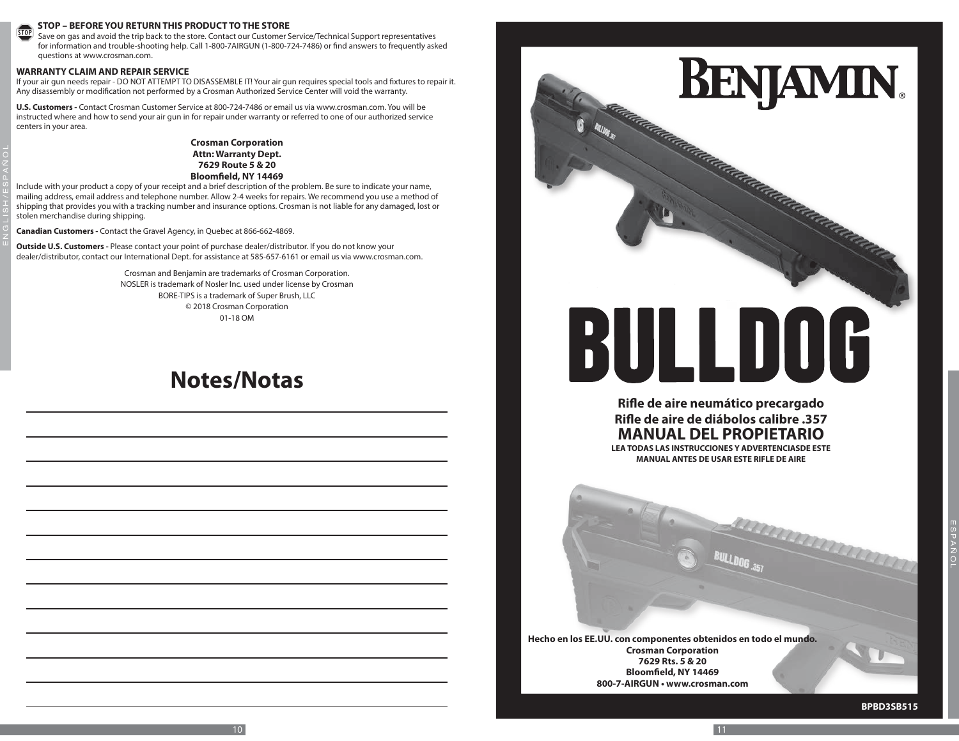#### **STOP – BEFORE YOU RETURN THIS PRODUCT TO THE STORE**

STOP Save on gas and avoid the trip back to the store. Contact our Customer Service/Technical Support representatives for information and trouble-shooting help. Call 1-800-7AIRGUN (1-800-724-7486) or find answers to frequently asked questions at www.crosman.com.

#### **WARRANTY CLAIM AND REPAIR SERVICE**

ENGLISH/ ESPAÑOL

If your air gun needs repair - DO NOT ATTEMPT TO DISASSEMBLE IT! Your air gun requires special tools and fixtures to repair it. Any disassembly or modification not performed by a Crosman Authorized Service Center will void the warranty.

**U.S. Customers -** Contact Crosman Customer Service at 800-724-7486 or email us via www.crosman.com. You will be instructed where and how to send your air gun in for repair under warranty or referred to one of our authorized service centers in your area.

#### **Crosman Corporation Attn: Warranty Dept. 7629 Route 5 & 20 Bloomfield, NY 14469**

Include with your product a copy of your receipt and a brief description of the problem. Be sure to indicate your name, mailing address, email address and telephone number. Allow 2-4 weeks for repairs. We recommend you use a method of shipping that provides you with a tracking number and insurance options. Crosman is not liable for any damaged, lost or stolen merchandise during shipping.

**Canadian Customers -** Contact the Gravel Agency, in Quebec at 866-662-4869.

**Outside U.S. Customers -** Please contact your point of purchase dealer/distributor. If you do not know your dealer/distributor, contact our International Dept. for assistance at 585-657-6161 or email us via www.crosman.com.

> Crosman and Benjamin are trademarks of Crosman Corporation. NOSLER is trademark of Nosler Inc. used under license by Crosman BORE-TIPS is a trademark of Super Brush, LLC © 2018 Crosman Corporation 01-18 OM

# **Notes/Notas**



**Hecho en los EE.UU. con componentes obtenidos en todo el mundo. Crosman Corporation 7629 Rts. 5 & 20 Bloomfield, NY 14469 800-7-AIRGUN • www.crosman.com**

 $10$   $11$ 

**BPBD3SB515**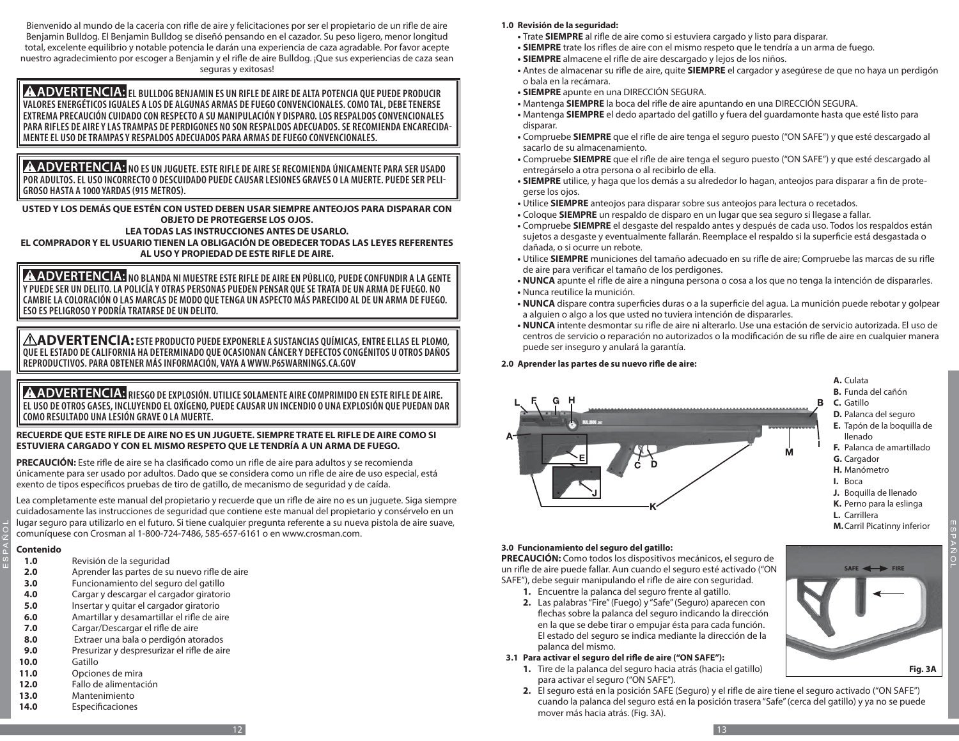Bienvenido al mundo de la cacería con rifle de aire y felicitaciones por ser el propietario de un rifle de aire Benjamin Bulldog. El Benjamin Bulldog se diseñó pensando en el cazador. Su peso ligero, menor longitud total, excelente equilibrio y notable potencia le darán una experiencia de caza agradable. Por favor acepte nuestro agradecimiento por escoger a Benjamin y el rifle de aire Bulldog. ¡Que sus experiencias de caza sean seguras y exitosas!

**A ADVERTENCIA:** EL BULLDOG BENJAMIN ES UN RIFLE DE AIRE DE ALTA POTENCIA QUE PUEDE PRODUCIR **VALORES ENERGÉTICOS IGUALES A LOS DE ALGUNAS ARMAS DE FUEGO CONVENCIONALES. COMO TAL, DEBE TENERSE EXTREMA PRECAUCIÓN CUIDADO CON RESPECTO A SU MANIPULACIÓN Y DISPARO. LOS RESPALDOS CONVENCIONALES PARA RIFLES DE AIRE Y LAS TRAMPAS DE PERDIGONES NO SON RESPALDOS ADECUADOS. SE RECOMIENDA ENCARECIDA- MENTE EL USO DE TRAMPAS Y RESPALDOS ADECUADOS PARA ARMAS DE FUEGO CONVENCIONALES.**

**A ADVERTENCIA:** NO ES UN JUGUETE. ESTE RIFLE DE AIRE SE RECOMIENDA ÚNICAMENTE PARA SER USADO **POR ADULTOS. EL USO INCORRECTO O DESCUIDADO PUEDE CAUSAR LESIONES GRAVES O LA MUERTE. PUEDE SER PELI-GROSO HASTA A 1000 YARDAS (915 METROS).**

**USTED Y LOS DEMÁS QUE ESTÉN CON USTED DEBEN USAR SIEMPRE ANTEOJOS PARA DISPARAR CON OBJETO DE PROTEGERSE LOS OJOS.**

**LEA TODAS LAS INSTRUCCIONES ANTES DE USARLO.**

**EL COMPRADOR Y EL USUARIO TIENEN LA OBLIGACIÓN DE OBEDECER TODAS LAS LEYES REFERENTES AL USO Y PROPIEDAD DE ESTE RIFLE DE AIRE.**

 **NO BLANDA NI MUESTRE ESTE RIFLE DE AIRE EN PÚBLICO, PUEDE CONFUNDIR A LA GENTE Y PUEDE SER UN DELITO. LA POLICÍA Y OTRAS PERSONAS PUEDEN PENSAR QUE SE TRATA DE UN ARMA DE FUEGO. NO CAMBIE LA COLORACIÓN O LAS MARCAS DE MODO QUE TENGA UN ASPECTO MÁS PARECIDO AL DE UN ARMA DE FUEGO. ESO ES PELIGROSO Y PODRÍA TRATARSE DE UN DELITO.**

**ADVERTENCIA: ESTE PRODUCTO PUEDE EXPONERLE A SUSTANCIAS QUÍMICAS, ENTRE ELLAS EL PLOMO, QUE EL ESTADO DE CALIFORNIA HA DETERMINADO QUE OCASIONAN CÁNCER Y DEFECTOS CONGÉNITOS U OTROS DAÑOS REPRODUCTIVOS. PARA OBTENER MÁS INFORMACIÓN, VAYA A WWW.P65WARNINGS.CA.GOV**

**A ADVERTENCIA:** RIESGO DE EXPLOSIÓN. UTILICE SOLAMENTE AIRE COMPRIMIDO EN ESTE RIFLE DE AIRE. **EL USO DE OTROS GASES, INCLUYENDO EL OXÍGENO, PUEDE CAUSAR UN INCENDIO O UNA EXPLOSIÓN QUE PUEDAN DAR COMO RESULTADO UNA LESIÓN GRAVE O LA MUERTE.**

#### **RECUERDE QUE ESTE RIFLE DE AIRE NO ES UN JUGUETE. SIEMPRE TRATE EL RIFLE DE AIRE COMO SI ESTUVIERA CARGADO Y CON EL MISMO RESPETO QUE LE TENDRÍA A UN ARMA DE FUEGO.**

**PRECAUCIÓN:** Este rifle de aire se ha clasificado como un rifle de aire para adultos y se recomienda únicamente para ser usado por adultos. Dado que se considera como un rifle de aire de uso especial, está exento de tipos específicos pruebas de tiro de gatillo, de mecanismo de seguridad y de caída.

Lea completamente este manual del propietario y recuerde que un rifle de aire no es un juguete. Siga siempre cuidadosamente las instrucciones de seguridad que contiene este manual del propietario y consérvelo en un lugar seguro para utilizarlo en el futuro. Si tiene cualquier pregunta referente a su nueva pistola de aire suave, comuníquese con Crosman al 1-800-724-7486, 585-657-6161 o en www.crosman.com.

# **Contenido**

ESPAÑOL

- **1.0** Revisión de la seguridad
- **2.0** Aprender las partes de su nuevo rifle de aire
- **3.0** Funcionamiento del seguro del gatillo
- **4.0** Cargar y descargar el cargador giratorio
- **5.0** Insertar y quitar el cargador giratorio
- **6.0** Amartillar y desamartillar el rifle de aire
- **7.0** Cargar/Descargar el rifle de aire
- **8.0** Extraer una bala o perdigón atorados
- **9.0** Presurizar y despresurizar el rifle de aire<br>**10.0** Gatillo
- **10.0** Gatillo
- **11.0** Opciones de mira
- 
- **12.0** Fallo de alimentación **13.0** Mantenimiento
- **14.0** Especificaciones
- **•** Trate **SIEMPRE** al rifle de aire como si estuviera cargado y listo para disparar.
- **• SIEMPRE** trate los rifles de aire con el mismo respeto que le tendría a un arma de fuego.
- **• SIEMPRE** almacene el rifle de aire descargado y lejos de los niños.
- **•** Antes de almacenar su rifle de aire, quite **SIEMPRE** el cargador y asegúrese de que no haya un perdigón o bala en la recámara.
- **• SIEMPRE** apunte en una DIRECCIÓN SEGURA.
- **•** Mantenga **SIEMPRE** la boca del rifle de aire apuntando en una DIRECCIÓN SEGURA.
- **•** Mantenga **SIEMPRE** el dedo apartado del gatillo y fuera del guardamonte hasta que esté listo para disparar.
- **•** Compruebe **SIEMPRE** que el rifle de aire tenga el seguro puesto ("ON SAFE") y que esté descargado al sacarlo de su almacenamiento.
- **•** Compruebe **SIEMPRE** que el rifle de aire tenga el seguro puesto ("ON SAFE") y que esté descargado al entregárselo a otra persona o al recibirlo de ella.
- **• SIEMPRE** utilice, y haga que los demás a su alrededor lo hagan, anteojos para disparar a fin de protegerse los ojos.
- **•** Utilice **SIEMPRE** anteojos para disparar sobre sus anteojos para lectura o recetados.
- **•** Coloque **SIEMPRE** un respaldo de disparo en un lugar que sea seguro si llegase a fallar.
- **•** Compruebe **SIEMPRE** el desgaste del respaldo antes y después de cada uso. Todos los respaldos están sujetos a desgaste y eventualmente fallarán. Reemplace el respaldo si la superficie está desgastada o dañada, o si ocurre un rebote.
- **•** Utilice **SIEMPRE** municiones del tamaño adecuado en su rifle de aire; Compruebe las marcas de su rifle de aire para verificar el tamaño de los perdigones.
- **• NUNCA** apunte el rifle de aire a ninguna persona o cosa a los que no tenga la intención de dispararles. **•** Nunca reutilice la munición.
- **• NUNCA** dispare contra superficies duras o a la superficie del agua. La munición puede rebotar y golpear a alguien o algo a los que usted no tuviera intención de dispararles.
- **• NUNCA** intente desmontar su rifle de aire ni alterarlo. Use una estación de servicio autorizada. El uso de centros de servicio o reparación no autorizados o la modificación de su rifle de aire en cualquier manera puede ser inseguro y anulará la garantía.

# **2.0 Aprender las partes de su nuevo rifle de aire:**



ESPAÑOL

**Fig. 2A 3A**

**SAFE** 

# **3.0 Funcionamiento del seguro del gatillo:**

**PRECAUCIÓN:** Como todos los dispositivos mecánicos, el seguro de un rifle de aire puede fallar. Aun cuando el seguro esté activado ("ON SAFE"), debe seguir manipulando el rifle de aire con seguridad.

- **1.** Encuentre la palanca del seguro frente al gatillo.
- **2.** Las palabras "Fire" (Fuego) y "Safe" (Seguro) aparecen con flechas sobre la palanca del seguro indicando la dirección en la que se debe tirar o empujar ésta para cada función. El estado del seguro se indica mediante la dirección de la palanca del mismo.

# **3.1 Para activar el seguro del rifle de aire ("ON SAFE"):**

- **1.** Tire de la palanca del seguro hacia atrás (hacia el gatillo) para activar el seguro ("ON SAFE").
- **2.** El seguro está en la posición SAFE (Seguro) y el rifle de aire tiene el seguro activado ("ON SAFE") cuando la palanca del seguro está en la posición trasera "Safe" (cerca del gatillo) y ya no se puede mover más hacia atrás. (Fig. 3A).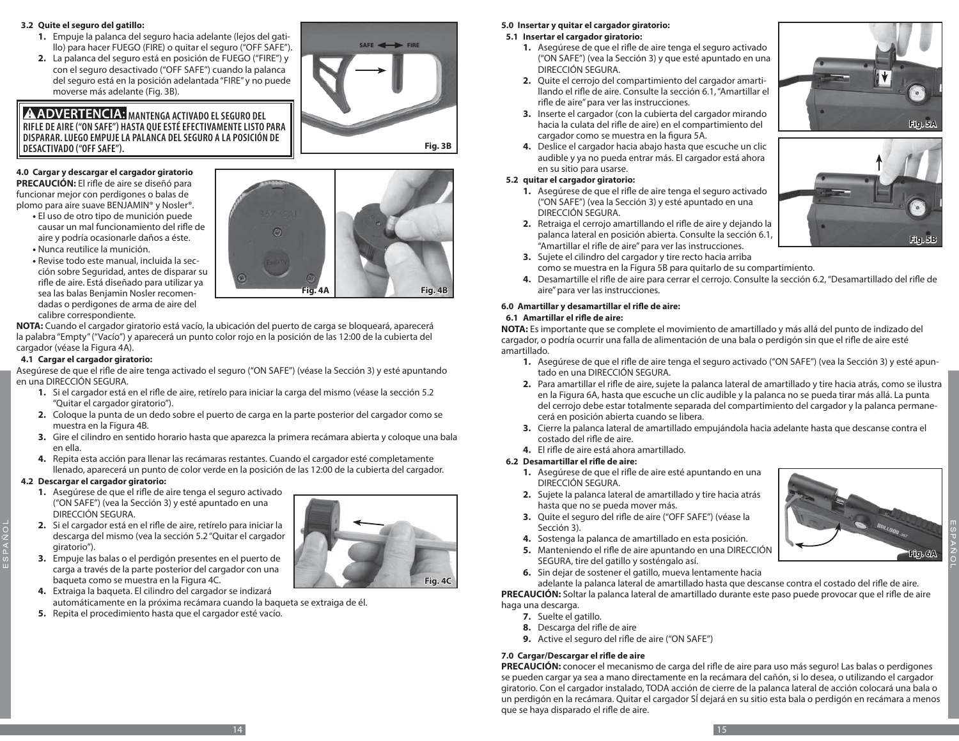#### **3.2 Quite el seguro del gatillo:**

- **1.** Empuje la palanca del seguro hacia adelante (lejos del gatillo) para hacer FUEGO (FIRE) o quitar el seguro ("OFF SAFE").
- **2.** La palanca del seguro está en posición de FUEGO ("FIRE") y con el seguro desactivado ("OFF SAFE") cuando la palanca del seguro está en la posición adelantada "FIRE" y no puede moverse más adelante (Fig. 3B).

# **A ADVERTENCIA:** MANTENGA ACTIVADO EL SEGURO DEL **RIFLE DE AIRE ("ON SAFE") HASTA QUE ESTÉ EFECTIVAMENTE LISTO PARA DISPARAR. LUEGO EMPUJE LA PALANCA DEL SEGURO A LA POSICIÓN DE DESACTIVADO ("OFF SAFE").**

#### **4.0 Cargar y descargar el cargador giratorio PRECAUCIÓN:** El rifle de aire se diseñó para

funcionar mejor con perdigones o balas de plomo para aire suave BENJAMIN® y Nosler®.

- **•** El uso de otro tipo de munición puede causar un mal funcionamiento del rifle de aire y podría ocasionarle daños a éste.
- **•** Nunca reutilice la munición.
- **•** Revise todo este manual, incluida la sección sobre Seguridad, antes de disparar su rifle de aire. Está diseñado para utilizar ya sea las balas Benjamin Nosler recomendadas o perdigones de arma de aire del calibre correspondiente.

**NOTA:** Cuando el cargador giratorio está vacío, la ubicación del puerto de carga se bloqueará, aparecerá la palabra "Empty" ("Vacío") y aparecerá un punto color rojo en la posición de las 12:00 de la cubierta del cargador (véase la Figura 4A).

# **4.1 Cargar el cargador giratorio:**

Asegúrese de que el rifle de aire tenga activado el seguro ("ON SAFE") (véase la Sección 3) y esté apuntando en una DIRECCIÓN SEGURA.

- **1.** Si el cargador está en el rifle de aire, retírelo para iniciar la carga del mismo (véase la sección 5.2 "Quitar el cargador giratorio").
- **2.** Coloque la punta de un dedo sobre el puerto de carga en la parte posterior del cargador como se muestra en la Figura 4B.
- **3.** Gire el cilindro en sentido horario hasta que aparezca la primera recámara abierta y coloque una bala en ella.
- **4.** Repita esta acción para llenar las recámaras restantes. Cuando el cargador esté completamente llenado, aparecerá un punto de color verde en la posición de las 12:00 de la cubierta del cargador.

# **4.2 Descargar el cargador giratorio:**

ESPAÑOL

- **1.** Asegúrese de que el rifle de aire tenga el seguro activado ("ON SAFE") (vea la Sección 3) y esté apuntado en una DIRECCIÓN SEGURA.
- **2.** Si el cargador está en el rifle de aire, retírelo para iniciar la descarga del mismo (vea la sección 5.2 "Quitar el cargador giratorio").
- **3.** Empuje las balas o el perdigón presentes en el puerto de carga a través de la parte posterior del cargador con una baqueta como se muestra en la Figura 4C.
- **4.** Extraiga la baqueta. El cilindro del cargador se indizará automáticamente en la próxima recámara cuando la baqueta se extraiga de él.
- **5.** Repita el procedimiento hasta que el cargador esté vacío.

#### **5.0 Insertar y quitar el cargador giratorio: 5.1 Insertar el cargador giratorio:**

- **1.** Asegúrese de que el rifle de aire tenga el seguro activado ("ON SAFE") (vea la Sección 3) y que esté apuntado en una DIRECCIÓN SEGURA.
- **2.** Quite el cerrojo del compartimiento del cargador amartillando el rifle de aire. Consulte la sección 6.1, "Amartillar el rifle de aire" para ver las instrucciones.
- **3.** Inserte el cargador (con la cubierta del cargador mirando hacia la culata del rifle de aire) en el compartimiento del cargador como se muestra en la figura 5A.
- **4.** Deslice el cargador hacia abajo hasta que escuche un clic audible y ya no pueda entrar más. El cargador está ahora en su sitio para usarse.

#### **5.2 quitar el cargador giratorio:**

- **1.** Asegúrese de que el rifle de aire tenga el seguro activado ("ON SAFE") (vea la Sección 3) y esté apuntado en una DIRECCIÓN SEGURA.
- **2.** Retraiga el cerrojo amartillando el rifle de aire y dejando la palanca lateral en posición abierta. Consulte la sección 6.1, "Amartillar el rifle de aire" para ver las instrucciones.
- **Fig. 5A**
- 
- **3.** Sujete el cilindro del cargador y tire recto hacia arriba como se muestra en la Figura 5B para quitarlo de su compartimiento.
- **4.** Desamartille el rifle de aire para cerrar el cerrojo. Consulte la sección 6.2, "Desamartillado del rifle de aire" para ver las instrucciones.

# **6.0 Amartillar y desamartillar el rifle de aire:**

#### **6.1 Amartillar el rifle de aire:**

**NOTA:** Es importante que se complete el movimiento de amartillado y más allá del punto de indizado del cargador, o podría ocurrir una falla de alimentación de una bala o perdigón sin que el rifle de aire esté amartillado.

- **1.** Asegúrese de que el rifle de aire tenga el seguro activado ("ON SAFE") (vea la Sección 3) y esté apuntado en una DIRECCIÓN SEGURA.
- **2.** Para amartillar el rifle de aire, sujete la palanca lateral de amartillado y tire hacia atrás, como se ilustra en la Figura 6A, hasta que escuche un clic audible y la palanca no se pueda tirar más allá. La punta del cerrojo debe estar totalmente separada del compartimiento del cargador y la palanca permanecerá en posición abierta cuando se libera.
- **3.** Cierre la palanca lateral de amartillado empujándola hacia adelante hasta que descanse contra el costado del rifle de aire.
- **4.** El rifle de aire está ahora amartillado.

# **6.2 Desamartillar el rifle de aire:**

- **1.** Asegúrese de que el rifle de aire esté apuntando en una DIRECCIÓN SEGURA.
- **2.** Sujete la palanca lateral de amartillado y tire hacia atrás hasta que no se pueda mover más.
- **3.** Quite el seguro del rifle de aire ("OFF SAFE") (véase la Sección 3).
- **4.** Sostenga la palanca de amartillado en esta posición.
- **5.** Manteniendo el rifle de aire apuntando en una DIRECCIÓN SEGURA, tire del gatillo y sosténgalo así.
- **6.** Sin dejar de sostener el gatillo, mueva lentamente hacia

adelante la palanca lateral de amartillado hasta que descanse contra el costado del rifle de aire. **PRECAUCIÓN:** Soltar la palanca lateral de amartillado durante este paso puede provocar que el rifle de aire haga una descarga.

- **7.** Suelte el gatillo.
- **8.** Descarga del rifle de aire
- **9.** Active el seguro del rifle de aire ("ON SAFE")

# **7.0 Cargar/Descargar el rifle de aire**

**PRECAUCIÓN:** conocer el mecanismo de carga del rifle de aire para uso más seguro! Las balas o perdigones se pueden cargar ya sea a mano directamente en la recámara del cañón, si lo desea, o utilizando el cargador giratorio. Con el cargador instalado, TODA acción de cierre de la palanca lateral de acción colocará una bala o un perdigón en la recámara. Quitar el cargador SÍ dejará en su sitio esta bala o perdigón en recámara a menos que se haya disparado el rifle de aire.



ESPAÑOL



**Fig. 3B**

**Fig. 4C**

**SAFE FIRE**



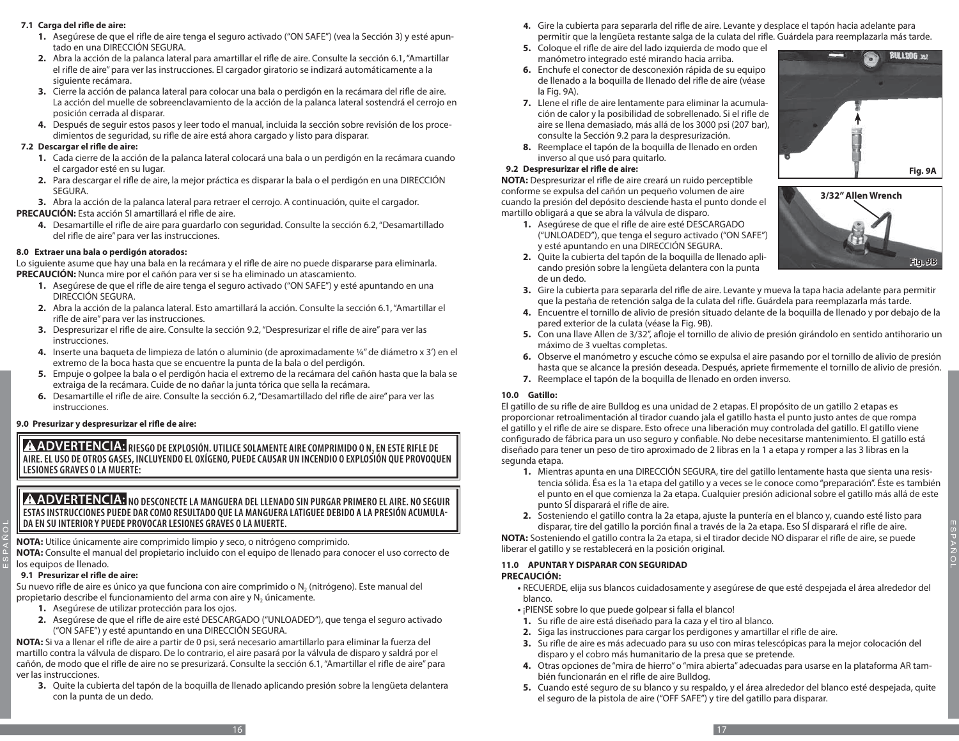#### **7.1 Carga del rifle de aire:**

- **1.** Asegúrese de que el rifle de aire tenga el seguro activado ("ON SAFE") (vea la Sección 3) y esté apuntado en una DIRECCIÓN SEGURA.
- **2.** Abra la acción de la palanca lateral para amartillar el rifle de aire. Consulte la sección 6.1, "Amartillar el rifle de aire" para ver las instrucciones. El cargador giratorio se indizará automáticamente a la siguiente recámara.
- **3.** Cierre la acción de palanca lateral para colocar una bala o perdigón en la recámara del rifle de aire. La acción del muelle de sobreenclavamiento de la acción de la palanca lateral sostendrá el cerrojo en posición cerrada al disparar.
- **4.** Después de seguir estos pasos y leer todo el manual, incluida la sección sobre revisión de los procedimientos de seguridad, su rifle de aire está ahora cargado y listo para disparar.

#### **7.2 Descargar el rifle de aire:**

- **1.** Cada cierre de la acción de la palanca lateral colocará una bala o un perdigón en la recámara cuando el cargador esté en su lugar.
- **2.** Para descargar el rifle de aire, la mejor práctica es disparar la bala o el perdigón en una DIRECCIÓN SEGURA.
- **3.** Abra la acción de la palanca lateral para retraer el cerrojo. A continuación, quite el cargador.

**PRECAUCIÓN:** Esta acción SI amartillará el rifle de aire.

**4.** Desamartille el rifle de aire para guardarlo con seguridad. Consulte la sección 6.2, "Desamartillado del rifle de aire" para ver las instrucciones.

#### **8.0 Extraer una bala o perdigón atorados:**

Lo siguiente asume que hay una bala en la recámara y el rifle de aire no puede dispararse para eliminarla. **PRECAUCIÓN:** Nunca mire por el cañón para ver si se ha eliminado un atascamiento.

- **1.** Asegúrese de que el rifle de aire tenga el seguro activado ("ON SAFE") y esté apuntando en una DIRECCIÓN SEGURA.
- **2.** Abra la acción de la palanca lateral. Esto amartillará la acción. Consulte la sección 6.1, "Amartillar el rifle de aire" para ver las instrucciones.
- **3.** Despresurizar el rifle de aire. Consulte la sección 9.2, "Despresurizar el rifle de aire" para ver las instrucciones.
- **4.** Inserte una baqueta de limpieza de latón o aluminio (de aproximadamente ¼" de diámetro x 3') en el extremo de la boca hasta que se encuentre la punta de la bala o del perdigón.
- **5.** Empuje o golpee la bala o el perdigón hacia el extremo de la recámara del cañón hasta que la bala se extraiga de la recámara. Cuide de no dañar la junta tórica que sella la recámara.
- **6.** Desamartille el rifle de aire. Consulte la sección 6.2, "Desamartillado del rifle de aire" para ver las instrucciones.

# **9.0 Presurizar y despresurizar el rifle de aire:**

**A ADVERTENCIA:** RIESGO DE EXPLOSIÓN. UTILICE SOLAMENTE AIRE COMPRIMIDO O N<sub>2</sub> EN ESTE RIFLE DE **AIRE. EL USO DE OTROS GASES, INCLUYENDO EL OXÍGENO, PUEDE CAUSAR UN INCENDIO O EXPLOSIÓN QUE PROVOQUEN LESIONES GRAVES O LA MUERTE:**

# **A ADVERTENCIA:** NO DESCONECTE LA MANGUERA DEL LLENADO SIN PURGAR PRIMERO EL AIRE. NO SEGUIR **ESTAS INSTRUCCIONES PUEDE DAR COMO RESULTADO QUE LA MANGUERA LATIGUEE DEBIDO A LA PRESIÓN ACUMULA-DA EN SU INTERIOR Y PUEDE PROVOCAR LESIONES GRAVES O LA MUERTE.**

**NOTA:** Utilice únicamente aire comprimido limpio y seco, o nitrógeno comprimido.

**NOTA:** Consulte el manual del propietario incluido con el equipo de llenado para conocer el uso correcto de los equipos de llenado.

# **9.1 Presurizar el rifle de aire:**

ESPAÑOL

Su nuevo rifle de aire es único ya que funciona con aire comprimido o N<sub>2</sub> (nitrógeno). Este manual del propietario describe el funcionamiento del arma con aire y N<sub>2</sub> únicamente.

- **1.** Asegúrese de utilizar protección para los ojos.
- **2.** Asegúrese de que el rifle de aire esté DESCARGADO ("UNLOADED"), que tenga el seguro activado ("ON SAFE") y esté apuntando en una DIRECCIÓN SEGURA.

**NOTA:** Si va a llenar el rifle de aire a partir de 0 psi, será necesario amartillarlo para eliminar la fuerza del martillo contra la válvula de disparo. De lo contrario, el aire pasará por la válvula de disparo y saldrá por el cañón, de modo que el rifle de aire no se presurizará. Consulte la sección 6.1, "Amartillar el rifle de aire" para ver las instrucciones.

**3.** Quite la cubierta del tapón de la boquilla de llenado aplicando presión sobre la lengüeta delantera con la punta de un dedo.

- **4.** Gire la cubierta para separarla del rifle de aire. Levante y desplace el tapón hacia adelante para permitir que la lengüeta restante salga de la culata del rifle. Guárdela para reemplazarla más tarde.
- **5.** Coloque el rifle de aire del lado izquierda de modo que el manómetro integrado esté mirando hacia arriba.
- **6.** Enchufe el conector de desconexión rápida de su equipo de llenado a la boquilla de llenado del rifle de aire (véase la Fig. 9A).
- **7.** Llene el rifle de aire lentamente para eliminar la acumulación de calor y la posibilidad de sobrellenado. Si el rifle de aire se llena demasiado, más allá de los 3000 psi (207 bar), consulte la Sección 9.2 para la despresurización.
- **8.** Reemplace el tapón de la boquilla de llenado en orden inverso al que usó para quitarlo.

# **9.2 Despresurizar el rifle de aire:**

de un dedo.

**NOTA:** Despresurizar el rifle de aire creará un ruido perceptible conforme se expulsa del cañón un pequeño volumen de aire cuando la presión del depósito desciende hasta el punto donde el martillo obligará a que se abra la válvula de disparo.

- **1.** Asegúrese de que el rifle de aire esté DESCARGADO ("UNLOADED"), que tenga el seguro activado ("ON SAFE") y esté apuntando en una DIRECCIÓN SEGURA.
- **2.** Quite la cubierta del tapón de la boquilla de llenado aplicando presión sobre la lengüeta delantera con la punta
- **3.** Gire la cubierta para separarla del rifle de aire. Levante y mueva la tapa hacia adelante para permitir que la pestaña de retención salga de la culata del rifle. Guárdela para reemplazarla más tarde.
- **4.** Encuentre el tornillo de alivio de presión situado delante de la boquilla de llenado y por debajo de la pared exterior de la culata (véase la Fig. 9B).
- **5.** Con una llave Allen de 3/32", afloje el tornillo de alivio de presión girándolo en sentido antihorario un máximo de 3 vueltas completas.
- **6.** Observe el manómetro y escuche cómo se expulsa el aire pasando por el tornillo de alivio de presión hasta que se alcance la presión deseada. Después, apriete firmemente el tornillo de alivio de presión.
- **7.** Reemplace el tapón de la boquilla de llenado en orden inverso.

# **10.0 Gatillo:**

El gatillo de su rifle de aire Bulldog es una unidad de 2 etapas. El propósito de un gatillo 2 etapas es proporcionar retroalimentación al tirador cuando jala el gatillo hasta el punto justo antes de que rompa el gatillo y el rifle de aire se dispare. Esto ofrece una liberación muy controlada del gatillo. El gatillo viene configurado de fábrica para un uso seguro y confiable. No debe necesitarse mantenimiento. El gatillo está diseñado para tener un peso de tiro aproximado de 2 libras en la 1 a etapa y romper a las 3 libras en la segunda etapa.

- **1.** Mientras apunta en una DIRECCIÓN SEGURA, tire del gatillo lentamente hasta que sienta una resistencia sólida. Ésa es la 1a etapa del gatillo y a veces se le conoce como "preparación". Éste es también el punto en el que comienza la 2a etapa. Cualquier presión adicional sobre el gatillo más allá de este punto SÍ disparará el rifle de aire.
- **2.** Sosteniendo el gatillo contra la 2a etapa, ajuste la puntería en el blanco y, cuando esté listo para disparar, tire del gatillo la porción final a través de la 2a etapa. Eso SÍ disparará el rifle de aire.

**NOTA:** Sosteniendo el gatillo contra la 2a etapa, si el tirador decide NO disparar el rifle de aire, se puede liberar el gatillo y se restablecerá en la posición original.

#### **11.0 APUNTAR Y DISPARAR CON SEGURIDAD PRECAUCIÓN:**

**•** RECUERDE, elija sus blancos cuidadosamente y asegúrese de que esté despejada el área alrededor del blanco.

- **•** ¡PIENSE sobre lo que puede golpear si falla el blanco!
- **1.** Su rifle de aire está diseñado para la caza y el tiro al blanco.
- **2.** Siga las instrucciones para cargar los perdigones y amartillar el rifle de aire.
- **3.** Su rifle de aire es más adecuado para su uso con miras telescópicas para la mejor colocación del disparo y el cobro más humanitario de la presa que se pretende.
- **4.** Otras opciones de "mira de hierro" o "mira abierta" adecuadas para usarse en la plataforma AR también funcionarán en el rifle de aire Bulldog.
- **5.** Cuando esté seguro de su blanco y su respaldo, y el área alrededor del blanco esté despejada, quite el seguro de la pistola de aire ("OFF SAFE") y tire del gatillo para disparar.





ESPAÑOL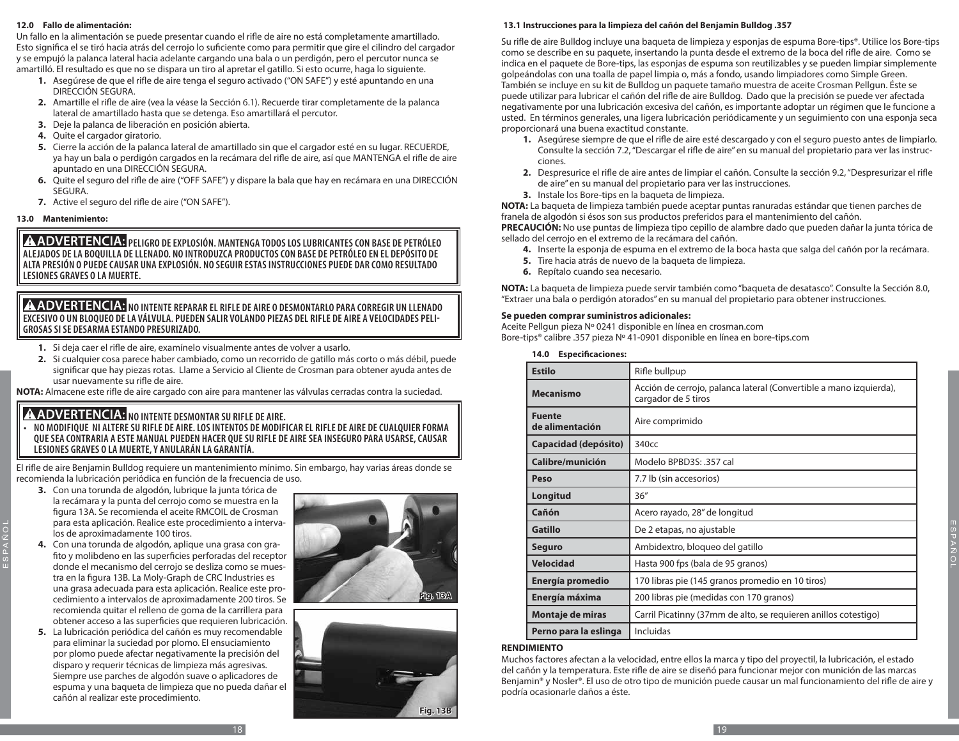#### **12.0 Fallo de alimentación:**

Un fallo en la alimentación se puede presentar cuando el rifle de aire no está completamente amartillado. Esto significa el se tiró hacia atrás del cerrojo lo suficiente como para permitir que gire el cilindro del cargador y se empujó la palanca lateral hacia adelante cargando una bala o un perdigón, pero el percutor nunca se amartilló. El resultado es que no se dispara un tiro al apretar el gatillo. Si esto ocurre, haga lo siguiente.

- **1.** Asegúrese de que el rifle de aire tenga el seguro activado ("ON SAFE") y esté apuntando en una DIRECCIÓN SEGURA.
- **2.** Amartille el rifle de aire (vea la véase la Sección 6.1). Recuerde tirar completamente de la palanca lateral de amartillado hasta que se detenga. Eso amartillará el percutor.
- **3.** Deje la palanca de liberación en posición abierta.
- **4.** Quite el cargador giratorio.
- **5.** Cierre la acción de la palanca lateral de amartillado sin que el cargador esté en su lugar. RECUERDE, ya hay un bala o perdigón cargados en la recámara del rifle de aire, así que MANTENGA el rifle de aire apuntado en una DIRECCIÓN SEGURA.
- **6.** Quite el seguro del rifle de aire ("OFF SAFE") y dispare la bala que hay en recámara en una DIRECCIÓN SEGURA.
- **7.** Active el seguro del rifle de aire ("ON SAFE").

#### **13.0 Mantenimiento:**

ESPAÑOL

**A ADVERTENCIA:** PELIGRO DE EXPLOSIÓN. MANTENGA TODOS LOS LUBRICANTES CON BASE DE PETRÓLEO **ALEJADOS DE LA BOQUILLA DE LLENADO. NO INTRODUZCA PRODUCTOS CON BASE DE PETRÓLEO EN EL DEPÓSITO DE ALTA PRESIÓN O PUEDE CAUSAR UNA EXPLOSIÓN. NO SEGUIR ESTAS INSTRUCCIONES PUEDE DAR COMO RESULTADO LESIONES GRAVES O LA MUERTE.**

## **NO INTENTE REPARAR EL RIFLE DE AIRE O DESMONTARLO PARA CORREGIR UN LLENADO EXCESIVO O UN BLOQUEO DE LA VÁLVULA. PUEDEN SALIR VOLANDO PIEZAS DEL RIFLE DE AIRE A VELOCIDADES PELI-GROSAS SI SE DESARMA ESTANDO PRESURIZADO.**

- **1.** Si deja caer el rifle de aire, examínelo visualmente antes de volver a usarlo.
- **2.** Si cualquier cosa parece haber cambiado, como un recorrido de gatillo más corto o más débil, puede significar que hay piezas rotas. Llame a Servicio al Cliente de Crosman para obtener ayuda antes de usar nuevamente su rifle de aire.

**NOTA:** Almacene este rifle de aire cargado con aire para mantener las válvulas cerradas contra la suciedad.

# **A ADVERTENCIA:** NO INTENTE DESMONTAR SU RIFLE DE AIRE.

**• NO MODIFIQUE NI ALTERE SU RIFLE DE AIRE. LOS INTENTOS DE MODIFICAR EL RIFLE DE AIRE DE CUALQUIER FORMA QUE SEA CONTRARIA A ESTE MANUAL PUEDEN HACER QUE SU RIFLE DE AIRE SEA INSEGURO PARA USARSE, CAUSAR LESIONES GRAVES O LA MUERTE, Y ANULARÁN LA GARANTÍA.** 

El rifle de aire Benjamin Bulldog requiere un mantenimiento mínimo. Sin embargo, hay varias áreas donde se recomienda la lubricación periódica en función de la frecuencia de uso.

- **3.** Con una torunda de algodón, lubrique la junta tórica de la recámara y la punta del cerrojo como se muestra en la figura 13A. Se recomienda el aceite RMCOIL de Crosman para esta aplicación. Realice este procedimiento a intervalos de aproximadamente 100 tiros.
- **4.** Con una torunda de algodón, aplique una grasa con grafito y molibdeno en las superficies perforadas del receptor donde el mecanismo del cerrojo se desliza como se muestra en la figura 13B. La Moly-Graph de CRC Industries es una grasa adecuada para esta aplicación. Realice este procedimiento a intervalos de aproximadamente 200 tiros. Se recomienda quitar el relleno de goma de la carrillera para obtener acceso a las superficies que requieren lubricación.
- **5.** La lubricación periódica del cañón es muy recomendable para eliminar la suciedad por plomo. El ensuciamiento por plomo puede afectar negativamente la precisión del disparo y requerir técnicas de limpieza más agresivas. Siempre use parches de algodón suave o aplicadores de espuma y una baqueta de limpieza que no pueda dañar el cañón al realizar este procedimiento.





## **13.1 Instrucciones para la limpieza del cañón del Benjamin Bulldog .357**

Su rifle de aire Bulldog incluye una baqueta de limpieza y esponjas de espuma Bore-tips®. Utilice los Bore-tips como se describe en su paquete, insertando la punta desde el extremo de la boca del rifle de aire. Como se indica en el paquete de Bore-tips, las esponjas de espuma son reutilizables y se pueden limpiar simplemente golpeándolas con una toalla de papel limpia o, más a fondo, usando limpiadores como Simple Green. También se incluye en su kit de Bulldog un paquete tamaño muestra de aceite Crosman Pellgun. Éste se puede utilizar para lubricar el cañón del rifle de aire Bulldog. Dado que la precisión se puede ver afectada negativamente por una lubricación excesiva del cañón, es importante adoptar un régimen que le funcione a usted. En términos generales, una ligera lubricación periódicamente y un seguimiento con una esponja seca proporcionará una buena exactitud constante.

- **1.** Asegúrese siempre de que el rifle de aire esté descargado y con el seguro puesto antes de limpiarlo. Consulte la sección 7.2, "Descargar el rifle de aire" en su manual del propietario para ver las instrucciones.
- **2.** Despresurice el rifle de aire antes de limpiar el cañón. Consulte la sección 9.2, "Despresurizar el rifle de aire" en su manual del propietario para ver las instrucciones.
- **3.** Instale los Bore-tips en la baqueta de limpieza.

**NOTA:** La baqueta de limpieza también puede aceptar puntas ranuradas estándar que tienen parches de franela de algodón si ésos son sus productos preferidos para el mantenimiento del cañón.

**PRECAUCIÓN:** No use puntas de limpieza tipo cepillo de alambre dado que pueden dañar la junta tórica de sellado del cerrojo en el extremo de la recámara del cañón.

- **4.** Inserte la esponja de espuma en el extremo de la boca hasta que salga del cañón por la recámara.
- **5.** Tire hacia atrás de nuevo de la baqueta de limpieza.
- **6.** Repítalo cuando sea necesario.

**NOTA:** La baqueta de limpieza puede servir también como "baqueta de desatasco". Consulte la Sección 8.0, "Extraer una bala o perdigón atorados" en su manual del propietario para obtener instrucciones.

#### **Se pueden comprar suministros adicionales:**

Aceite Pellgun pieza Nº 0241 disponible en línea en crosman.com Bore-tips® calibre .357 pieza Nº 41-0901 disponible en línea en bore-tips.com

#### **14.0 Especificaciones:**

| <b>Estilo</b>                    | Rifle bullpup                                                                             |
|----------------------------------|-------------------------------------------------------------------------------------------|
| <b>Mecanismo</b>                 | Acción de cerrojo, palanca lateral (Convertible a mano izquierda),<br>cargador de 5 tiros |
| <b>Fuente</b><br>de alimentación | Aire comprimido                                                                           |
| Capacidad (depósito)             | 340 <sub>cc</sub>                                                                         |
| Calibre/munición                 | Modelo BPBD3S: .357 cal                                                                   |
| Peso                             | 7.7 lb (sin accesorios)                                                                   |
| Longitud                         | 36''                                                                                      |
| Cañón                            | Acero rayado, 28" de longitud                                                             |
| <b>Gatillo</b>                   | De 2 etapas, no ajustable                                                                 |
| <b>Seguro</b>                    | Ambidextro, bloqueo del gatillo                                                           |
| <b>Velocidad</b>                 | Hasta 900 fps (bala de 95 granos)                                                         |
| Energía promedio                 | 170 libras pie (145 granos promedio en 10 tiros)                                          |
| Energía máxima                   | 200 libras pie (medidas con 170 granos)                                                   |
| Montaje de miras                 | Carril Picatinny (37mm de alto, se requieren anillos cotestigo)                           |
| Perno para la eslinga            | Incluidas                                                                                 |

#### **RENDIMIENTO**

Muchos factores afectan a la velocidad, entre ellos la marca y tipo del proyectil, la lubricación, el estado del cañón y la temperatura. Este rifle de aire se diseñó para funcionar mejor con munición de las marcas Benjamin® y Nosler®. El uso de otro tipo de munición puede causar un mal funcionamiento del rifle de aire y podría ocasionarle daños a éste.